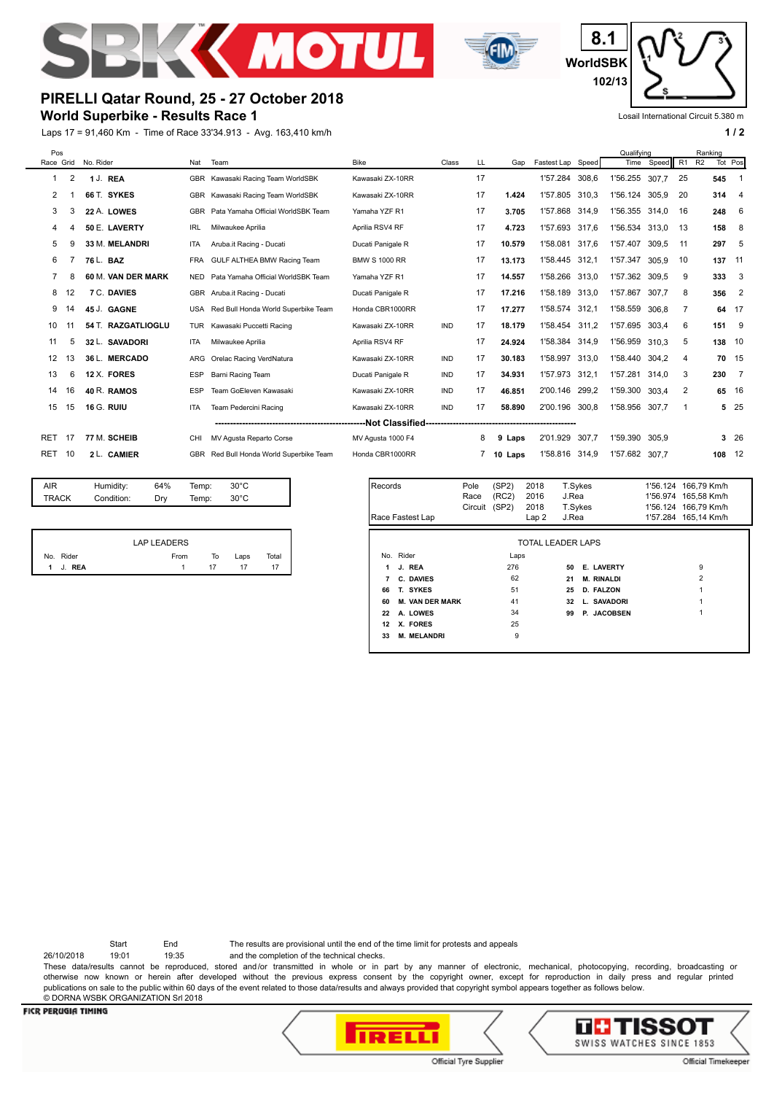



**WorldSBK 8.1 102/13**

Losail International Circuit 5.380 m

# **PIRELLI Qatar Round, 25 - 27 October 2018**

## **World Superbike - Results Race 1**

Laps 17 = 91,460 Km - Time of Race 33'34.913 - Avg. 163,410 km/h **1 and 2 1 and 2 1 and 2 1 a 1 a 1 a 1 a 1 a 1 a 1 a 1 a 1 a 1 a 1 a 1 a 1 a 1 a 1 a 1 a 1 a 1 a 1 a 1 a 1 a**

|           | Pos            |                    |            |                                     |                      |            |    |            |                   | Qualifving |                | Ranking |                      |         |                            |
|-----------|----------------|--------------------|------------|-------------------------------------|----------------------|------------|----|------------|-------------------|------------|----------------|---------|----------------------|---------|----------------------------|
| Race Grid |                | No. Rider          | Nat        | Team                                | <b>Bike</b>          | Class      | LL | Gap        | Fastest Lap Speed |            | Time           | Speed   | R <sub>2</sub><br>R1 | Tot Pos |                            |
| 1         | $\overline{2}$ | 1 J. REA           | <b>GBR</b> | Kawasaki Racing Team WorldSBK       | Kawasaki ZX-10RR     |            | 17 |            | 1'57.284          | 308,6      | 1'56.255       | 307.7   | 25                   | 545     |                            |
| 2         |                | 66 T. SYKES        | <b>GBR</b> | Kawasaki Racing Team WorldSBK       | Kawasaki ZX-10RR     |            | 17 | 1.424      | 1'57.805          | 310.3      | 1'56.124       | 305.9   | 20                   | 314     | - 4                        |
| 3         | 3              | 22 A. LOWES        | <b>GBR</b> | Pata Yamaha Official WorldSBK Team  | Yamaha YZF R1        |            | 17 | 3.705      | 1'57.868 314.9    |            | 1'56.355 314,0 |         | 16                   | 248     | - 6                        |
| 4         |                | 50 E. LAVERTY      | <b>IRL</b> | Milwaukee Aprilia                   | Aprilia RSV4 RF      |            | 17 | 4.723      | 1'57.693          | 317,6      | 1'56.534 313.0 |         | 13                   | 158     | 8                          |
| 5         | g              | 33 M. MELANDRI     | <b>ITA</b> | Aruba.it Racing - Ducati            | Ducati Panigale R    |            | 17 | 10.579     | 1'58.081          | 317,6      | 1'57.407       | 309.5   | 11                   | 297     | - 5                        |
| 6         |                | 76 L. BAZ          | <b>FRA</b> | GULF ALTHEA BMW Racing Team         | <b>BMW S 1000 RR</b> |            | 17 | 13.173     | 1'58.445 312,1    |            | 1'57.347       | 305.9   | 10                   | 137     | 11                         |
| 7         | 8              | 60 M. VAN DER MARK | <b>NED</b> | Pata Yamaha Official WorldSBK Team  | Yamaha YZF R1        |            | 17 | 14.557     | 1'58.266 313,0    |            | 1'57.362 309.5 |         | 9                    | 333     | $_{3}$                     |
| 8         | 12             | 7 C. DAVIES        |            | GBR Aruba.it Racing - Ducati        | Ducati Panigale R    |            | 17 | 17.216     | 1'58.189          | 313.0      | 1'57.867       | 307.7   | 8                    | 356     | $\overline{\phantom{0}}^2$ |
| 9         | 14             | 45 J. GAGNE        | <b>USA</b> | Red Bull Honda World Superbike Team | Honda CBR1000RR      |            | 17 | 17.277     | 1'58.574          | 312.1      | 1'58.559       | 306.8   | 7                    | 64      | - 17                       |
| 10        |                | 54 T. RAZGATLIOGLU | <b>TUR</b> | Kawasaki Puccetti Racing            | Kawasaki ZX-10RR     | <b>IND</b> | 17 | 18.179     | 1'58.454          | 311.2      | 1'57.695       | 303.4   | 6                    | 151 9   |                            |
| 11        | 5              | 32 L. SAVADORI     | <b>ITA</b> | Milwaukee Aprilia                   | Aprilia RSV4 RF      |            | 17 | 24.924     | 1'58.384          | 314.9      | 1'56.959 310.3 |         | 5                    | 138 10  |                            |
| 12        | 13             | 36 L. MERCADO      | ARG        | Orelac Racing VerdNatura            | Kawasaki ZX-10RR     | <b>IND</b> | 17 | 30.183     | 1'58.997          | 313,0      | 1'58.440       | 304.2   | 4                    | 70 15   |                            |
| 13        | 6              | 12 X. FORES        | <b>ESP</b> | <b>Barni Racing Team</b>            | Ducati Panigale R    | <b>IND</b> | 17 | 34.931     | 1'57.973          | 312,1      | 1'57.281       | 314.0   | 3                    | 230     | $\overline{7}$             |
| 14        | 16             | 40 R. RAMOS        | <b>ESP</b> | Team GoEleven Kawasaki              | Kawasaki ZX-10RR     | <b>IND</b> | 17 | 46.851     | 2'00.146 299,2    |            | 1'59.300       | 303.4   | 2                    | 65 16   |                            |
| 15        | 15             | <b>16 G. RUIU</b>  | <b>ITA</b> | Team Pedercini Racing               | Kawasaki ZX-10RR     | <b>IND</b> | 17 | 58.890     | 2'00.196 300.8    |            | 1'58.956       | 307.7   | 1                    |         | 525                        |
|           |                |                    |            |                                     |                      |            |    |            |                   |            |                |         |                      |         |                            |
| RET       | 17             | 77 M. SCHEIB       | CHI        | MV Agusta Reparto Corse             | MV Agusta 1000 F4    |            | 8  | 9<br>Laps  | 2'01.929          | 307.7      | 1'59.390       | 305.9   |                      |         | 326                        |
| RET       | 10             | 2 L. CAMIER        | <b>GBR</b> | Red Bull Honda World Superbike Team | Honda CBR1000RR      |            |    | 10<br>Laps | 1'58.816          | 314,9      | 1'57.682       | 307.7   |                      | 108     | 12                         |
|           |                |                    |            |                                     |                      |            |    |            |                   |            |                |         |                      |         |                            |

| AIR          | Humidity:  | 64% | Temp: | $30^{\circ}$ C |  |
|--------------|------------|-----|-------|----------------|--|
| <b>TRACK</b> | Condition: | Drv | Temp: | $30^{\circ}$ C |  |
|              |            |     |       |                |  |
|              |            |     |       |                |  |
|              |            |     |       |                |  |

|     |        | <b>LAP LEADERS</b> |    |      |       |
|-----|--------|--------------------|----|------|-------|
| No. | Rider  | From               | To | Laps | Total |
|     | J. REA |                    |    |      |       |

| Records                  | Race Fastest Lap       | Pole<br>Race<br>Circuit | (SP2)<br>(RC2)<br>(SP2) | 2018<br>2016<br>2018<br>Lap 2 | T.Sykes<br>J.Rea<br>T.Sykes<br>J.Rea |                   |  | 1'56.124 166,79 Km/h<br>1'56.974 165,58 Km/h<br>1'56.124 166,79 Km/h<br>1'57.284 165,14 Km/h |
|--------------------------|------------------------|-------------------------|-------------------------|-------------------------------|--------------------------------------|-------------------|--|----------------------------------------------------------------------------------------------|
| <b>TOTAL LEADER LAPS</b> |                        |                         |                         |                               |                                      |                   |  |                                                                                              |
|                          | No. Rider              |                         | Laps                    |                               |                                      |                   |  |                                                                                              |
| 1                        | J. REA                 |                         | 276                     |                               | 50                                   | <b>E. LAVERTY</b> |  | 9                                                                                            |
| 7                        | C. DAVIES              |                         | 62                      |                               | 21                                   | <b>M. RINALDI</b> |  | $\overline{2}$                                                                               |
| 66                       | T. SYKES               |                         | 51                      |                               | 25                                   | <b>D. FALZON</b>  |  |                                                                                              |
| 60                       | <b>M. VAN DER MARK</b> |                         | 41                      |                               | 32                                   | L. SAVADORI       |  |                                                                                              |
| 22                       | A. LOWES               |                         | 34                      |                               | 99                                   | P. JACOBSEN       |  |                                                                                              |
| 12                       | X. FORES               |                         | 25                      |                               |                                      |                   |  |                                                                                              |
| 33                       | <b>M. MELANDRI</b>     |                         | 9                       |                               |                                      |                   |  |                                                                                              |
|                          |                        |                         |                         |                               |                                      |                   |  |                                                                                              |

Start End The results are provisional until the end of the time limit for protests and appeals

26/10/2018 19:01 19:35 and the completion of the technical checks.

These data/results cannot be reproduced, stored and/or transmitted in whole or in part by any manner of electronic, mechanical, photocopying, recording, broadcasting or otherwise now known or herein after developed without the previous express consent by the copyright owner, except for reproduction in daily press and regular printed publications on sale to the public within 60 days of the event related to those data/results and always provided that copyright symbol appears together as follows below. © DORNA WSBK ORGANIZATION Srl 2018

#### **FICR PERUGIA TIMING**